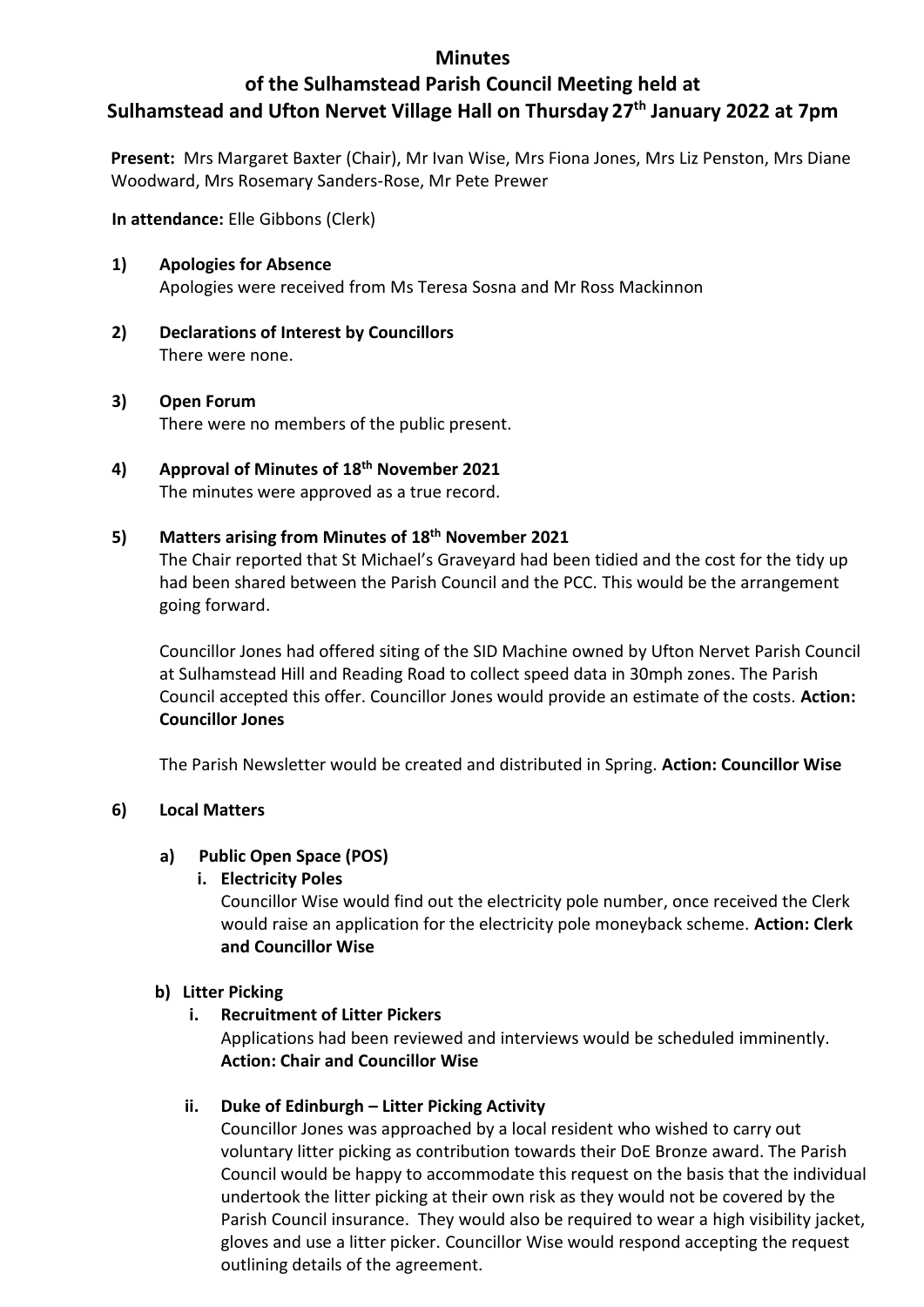#### **Minutes**

# **of the Sulhamstead Parish Council Meeting held at Sulhamstead and Ufton Nervet Village Hall on Thursday 27th January 2022 at 7pm**

**Present:** Mrs Margaret Baxter (Chair), Mr Ivan Wise, Mrs Fiona Jones, Mrs Liz Penston, Mrs Diane Woodward, Mrs Rosemary Sanders-Rose, Mr Pete Prewer

**In attendance:** Elle Gibbons (Clerk)

- **1) Apologies for Absence** Apologies were received from Ms Teresa Sosna and Mr Ross Mackinnon
- **2) Declarations of Interest by Councillors**  There were none.
- **3) Open Forum** There were no members of the public present.
- **4) Approval of Minutes of 18th November 2021** The minutes were approved as a true record.

#### **5) Matters arising from Minutes of 18th November 2021**

The Chair reported that St Michael's Graveyard had been tidied and the cost for the tidy up had been shared between the Parish Council and the PCC. This would be the arrangement going forward.

Councillor Jones had offered siting of the SID Machine owned by Ufton Nervet Parish Council at Sulhamstead Hill and Reading Road to collect speed data in 30mph zones. The Parish Council accepted this offer. Councillor Jones would provide an estimate of the costs. **Action: Councillor Jones**

The Parish Newsletter would be created and distributed in Spring. **Action: Councillor Wise**

#### **6) Local Matters**

# **a) Public Open Space (POS)**

# **i. Electricity Poles**

Councillor Wise would find out the electricity pole number, once received the Clerk would raise an application for the electricity pole moneyback scheme. **Action: Clerk and Councillor Wise**

#### **b) Litter Picking**

# **i. Recruitment of Litter Pickers**

Applications had been reviewed and interviews would be scheduled imminently. **Action: Chair and Councillor Wise**

# **ii. Duke of Edinburgh – Litter Picking Activity**

Councillor Jones was approached by a local resident who wished to carry out voluntary litter picking as contribution towards their DoE Bronze award. The Parish Council would be happy to accommodate this request on the basis that the individual undertook the litter picking at their own risk as they would not be covered by the Parish Council insurance. They would also be required to wear a high visibility jacket, gloves and use a litter picker. Councillor Wise would respond accepting the request outlining details of the agreement.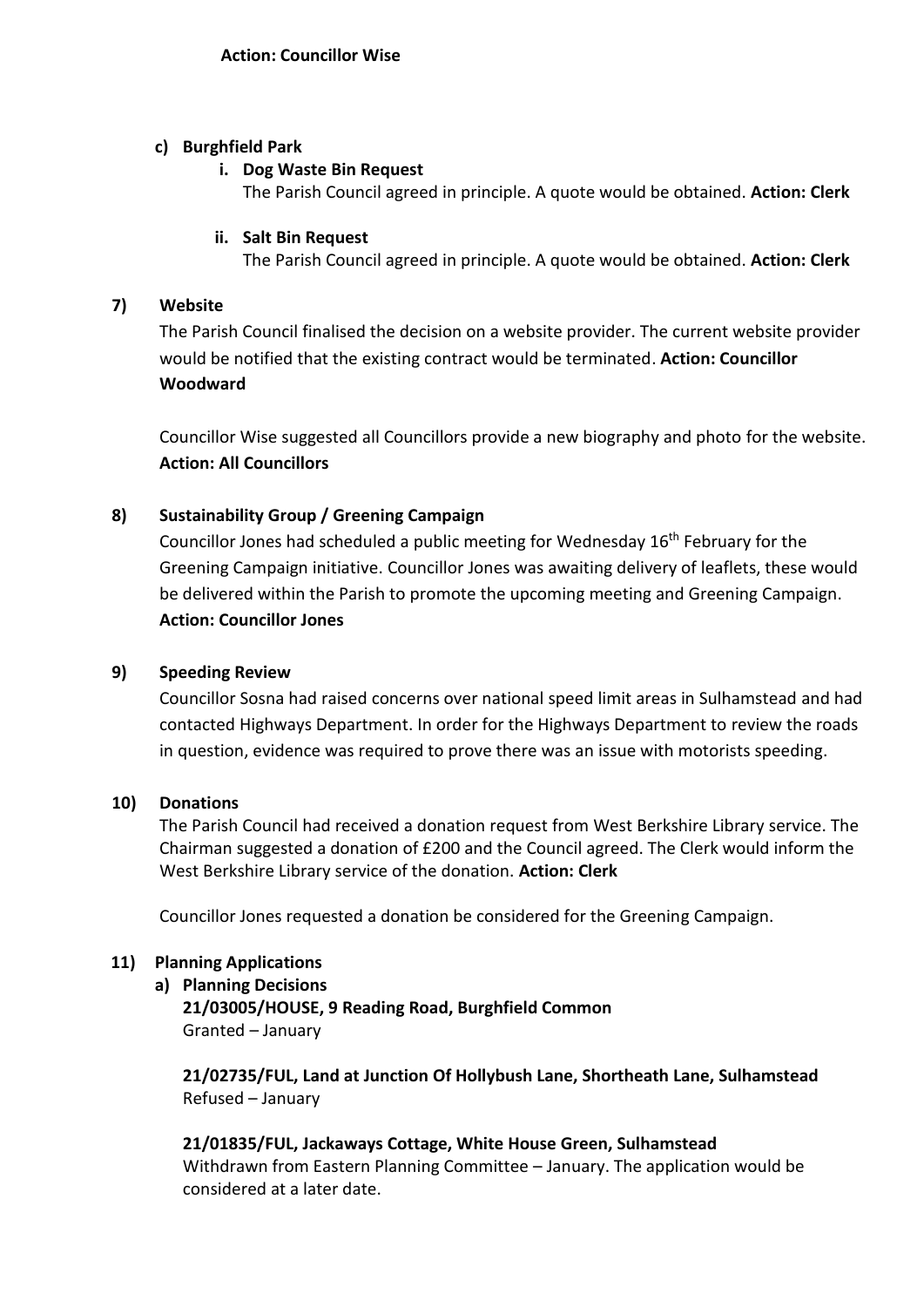#### **c) Burghfield Park**

#### **i. Dog Waste Bin Request**

The Parish Council agreed in principle. A quote would be obtained. **Action: Clerk**

### **ii. Salt Bin Request**

The Parish Council agreed in principle. A quote would be obtained. **Action: Clerk**

### **7) Website**

The Parish Council finalised the decision on a website provider. The current website provider would be notified that the existing contract would be terminated. **Action: Councillor Woodward** 

Councillor Wise suggested all Councillors provide a new biography and photo for the website. **Action: All Councillors**

# **8) Sustainability Group / Greening Campaign**

Councillor Jones had scheduled a public meeting for Wednesday 16<sup>th</sup> February for the Greening Campaign initiative. Councillor Jones was awaiting delivery of leaflets, these would be delivered within the Parish to promote the upcoming meeting and Greening Campaign. **Action: Councillor Jones**

# **9) Speeding Review**

Councillor Sosna had raised concerns over national speed limit areas in Sulhamstead and had contacted Highways Department. In order for the Highways Department to review the roads in question, evidence was required to prove there was an issue with motorists speeding.

# **10) Donations**

The Parish Council had received a donation request from West Berkshire Library service. The Chairman suggested a donation of £200 and the Council agreed. The Clerk would inform the West Berkshire Library service of the donation. **Action: Clerk**

Councillor Jones requested a donation be considered for the Greening Campaign.

# **11) Planning Applications**

# **a) Planning Decisions**

**21/03005/HOUSE, 9 Reading Road, Burghfield Common** Granted – January

**21/02735/FUL, Land at Junction Of Hollybush Lane, Shortheath Lane, Sulhamstead** Refused – January

**21/01835/FUL, Jackaways Cottage, White House Green, Sulhamstead** Withdrawn from Eastern Planning Committee – January. The application would be considered at a later date.